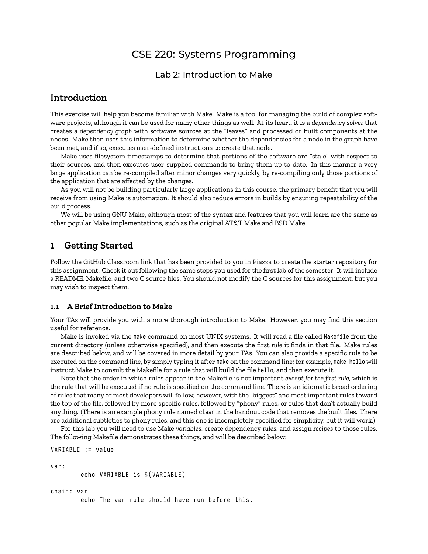# CSE 220: Systems Programming

### Lab 2: Introduction to Make

## **Introduction**

This exercise will help you become familiar with Make. Make is a tool for managing the build of complex software projects, although it can be used for many other things as well. At its heart, it is a *dependency solver* that creates a *dependency graph* with software sources at the "leaves" and processed or built components at the nodes. Make then uses this information to determine whether the dependencies for a node in the graph have been met, and if so, executes user-defined instructions to create that node.

Make uses filesystem timestamps to determine that portions of the software are "stale" with respect to their sources, and then executes user-supplied commands to bring them up-to-date. In this manner a very large application can be re-compiled after minor changes very quickly, by re-compiling only those portions of the application that are affected by the changes.

As you will not be building particularly large applications in this course, the primary benefit that you will receive from using Make is automation. It should also reduce errors in builds by ensuring repeatability of the build process.

We will be using GNU Make, although most of the syntax and features that you will learn are the same as other popular Make implementations, such as the original AT&T Make and BSD Make.

### **1 Getting Started**

VARIABLE := value

Follow the GitHub Classroom link that has been provided to you in Piazza to create the starter repository for this assignment. Check it out following the same steps you used for the first lab of the semester. It will include a README, Makefile, and two C source files. You should not modify the C sources for this assignment, but you may wish to inspect them.

#### **1.1 A Brief Introduction to Make**

Your TAs will provide you with a more thorough introduction to Make. However, you may find this section useful for reference.

Make is invoked via the make command on most UNIX systems. It will read a file called Makefile from the current directory (unless otherwise specified), and then execute the first *rule* it finds in that file. Make rules are described below, and will be covered in more detail by your TAs. You can also provide a specific rule to be executed on the command line, by simply typing it after make on the command line; for example, make hello will instruct Make to consult the Makefile for a rule that will build the file hello, and then execute it.

Note that the order in which rules appear in the Makefile is not important *except for the first rule*, which is the rule that will be executed if no rule is specified on the command line. There is an idiomatic broad ordering of rules that many or most developers will follow, however, with the "biggest" and most important rules toward the top of the file, followed by more specific rules, followed by "phony" rules, or rules that don't actually build anything. (There is an example phony rule named clean in the handout code that removes the built files. There are additional subtleties to phony rules, and this one is incompletely specified for simplicity, but it will work.)

For this lab you will need to use Make *variables*, create dependency *rules*, and assign *recipes* to those rules. The following Makefile demonstrates these things, and will be described below:

```
var :
        echo VARIABLE is $ (VARIABLE)
chain: var
        echo The var rule should have run before this.
```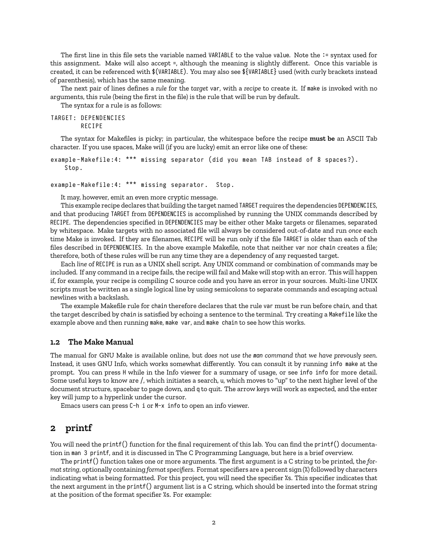The first line in this file sets the variable named VARIABLE to the value value. Note the := syntax used for this assignment. Make will also accept =, although the meaning is slightly different. Once this variable is created, it can be referenced with \$(VARIABLE). You may also see \${VARIABLE} used (with curly brackets instead of parenthesis), which has the same meaning.

The next pair of lines defines a *rule* for the *target* var, with a *recipe* to create it. If make is invoked with no arguments, this rule (being the first in the file) is the rule that will be run by default.

The syntax for a rule is as follows:

```
TARGET : DEPENDENCIES
        RECIPE
```
The syntax for Makefiles is picky; in particular, the whitespace before the recipe **must be** an ASCII Tab character. If you use spaces, Make will (if you are lucky) emit an error like one of these:

```
example-Makefile:4: *** missing separator (did you mean TAB instead of 8 spaces?).
   Stop .
```

```
example-Makefile:4: *** missing separator. Stop.
```
It may, however, emit an even more cryptic message.

This example recipe declares that building the target named TARGET requires the dependencies DEPENDENCIES, and that producing TARGET from DEPENDENCIES is accomplished by running the UNIX commands described by RECIPE. The dependencies specified in DEPENDENCIES may be either other Make targets or filenames, separated by whitespace. Make targets with no associated file will always be considered out-of-date and run *once* each time Make is invoked. If they are filenames, RECIPE will be run only if the file TARGET is older than each of the files described in DEPENDENCIES. In the above example Makefile, note that neither var nor chain creates a file; therefore, both of these rules will be run any time they are a dependency of any requested target.

Each *line* of RECIPE is run as a UNIX shell script. Any UNIX command or combination of commands may be included. If any command in a recipe fails, the recipe will fail and Make will stop with an error. This will happen if, for example, your recipe is compiling C source code and you have an error in your sources. Multi-line UNIX scripts must be written as a single logical line by using semicolons to separate commands and escaping actual newlines with a backslash.

The example Makefile rule for chain therefore declares that the rule var must be run before chain, and that the target described by chain is satisfied by echoing a sentence to the terminal. Try creating a Makefile like the example above and then running make, make var, and make chain to see how this works.

#### **1.2 The Make Manual**

The manual for GNU Make is available online, but *does not use the man command that we have prevously seen*. Instead, it uses GNU Info, which works somewhat differently. You can consult it by running info make at the prompt. You can press H while in the Info viewer for a summary of usage, or see info info for more detail. Some useful keys to know are /, which initiates a search, u, which moves to "up" to the next higher level of the document structure, spacebar to page down, and q to quit. The arrow keys will work as expected, and the enter key will jump to a hyperlink under the cursor.

Emacs users can press C-h i or M-x info to open an info viewer.

### **2 printf**

You will need the printf() function for the final requirement of this lab. You can find the printf() documentation in man 3 printf, and it is discussed in The C Programming Language, but here is a brief overview.

The printf() function takes one or more arguments. The first argument is a C string to be printed, the *format string*, optionally containing *format specifiers*. Format specifiers are a percent sign (%) followed by characters indicating what is being formatted. For this project, you will need the specifier %s. This specifier indicates that the next argument in the printf() argument list is a C string, which should be inserted into the format string at the position of the format specifier %s. For example: